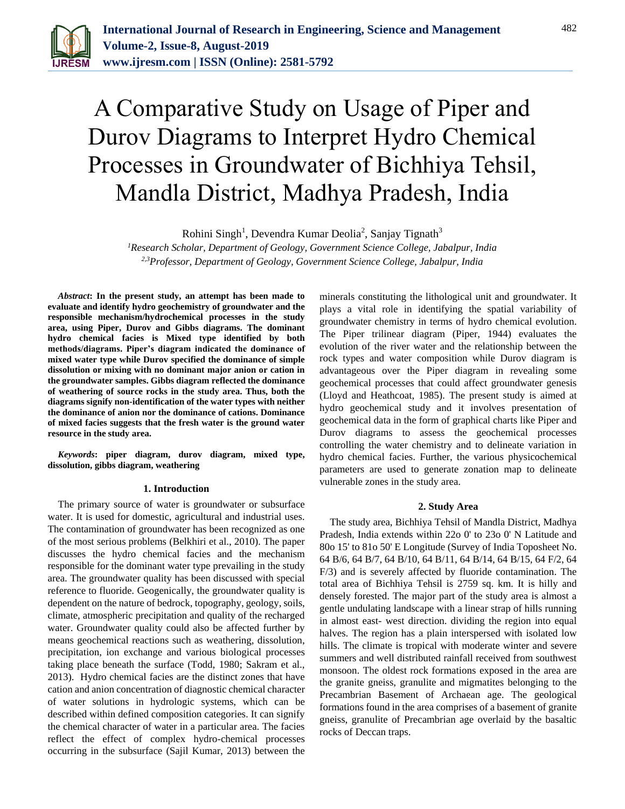

# A Comparative Study on Usage of Piper and Durov Diagrams to Interpret Hydro Chemical Processes in Groundwater of Bichhiya Tehsil, Mandla District, Madhya Pradesh, India

Rohini Singh<sup>1</sup>, Devendra Kumar Deolia<sup>2</sup>, Sanjay Tignath<sup>3</sup>

*<sup>1</sup>Research Scholar, Department of Geology, Government Science College, Jabalpur, India 2,3Professor, Department of Geology, Government Science College, Jabalpur, India*

*Abstract***: In the present study, an attempt has been made to evaluate and identify hydro geochemistry of groundwater and the responsible mechanism/hydrochemical processes in the study area, using Piper, Durov and Gibbs diagrams. The dominant hydro chemical facies is Mixed type identified by both methods/diagrams. Piper's diagram indicated the dominance of mixed water type while Durov specified the dominance of simple dissolution or mixing with no dominant major anion or cation in the groundwater samples. Gibbs diagram reflected the dominance of weathering of source rocks in the study area. Thus, both the diagrams signify non-identification of the water types with neither the dominance of anion nor the dominance of cations. Dominance of mixed facies suggests that the fresh water is the ground water resource in the study area.**

*Keywords***: piper diagram, durov diagram, mixed type, dissolution, gibbs diagram, weathering**

## **1. Introduction**

The primary source of water is groundwater or subsurface water. It is used for domestic, agricultural and industrial uses. The contamination of groundwater has been recognized as one of the most serious problems (Belkhiri et al., 2010). The paper discusses the hydro chemical facies and the mechanism responsible for the dominant water type prevailing in the study area. The groundwater quality has been discussed with special reference to fluoride. Geogenically, the groundwater quality is dependent on the nature of bedrock, topography, geology, soils, climate, atmospheric precipitation and quality of the recharged water. Groundwater quality could also be affected further by means geochemical reactions such as weathering, dissolution, precipitation, ion exchange and various biological processes taking place beneath the surface (Todd, 1980; Sakram et al., 2013). Hydro chemical facies are the distinct zones that have cation and anion concentration of diagnostic chemical character of water solutions in hydrologic systems, which can be described within defined composition categories. It can signify the chemical character of water in a particular area. The facies reflect the effect of complex hydro-chemical processes occurring in the subsurface (Sajil Kumar, 2013) between the

minerals constituting the lithological unit and groundwater. It plays a vital role in identifying the spatial variability of groundwater chemistry in terms of hydro chemical evolution. The Piper trilinear diagram (Piper, 1944) evaluates the evolution of the river water and the relationship between the rock types and water composition while Durov diagram is advantageous over the Piper diagram in revealing some geochemical processes that could affect groundwater genesis (Lloyd and Heathcoat, 1985). The present study is aimed at hydro geochemical study and it involves presentation of geochemical data in the form of graphical charts like Piper and Durov diagrams to assess the geochemical processes controlling the water chemistry and to delineate variation in hydro chemical facies. Further, the various physicochemical parameters are used to generate zonation map to delineate vulnerable zones in the study area.

# **2. Study Area**

The study area, Bichhiya Tehsil of Mandla District, Madhya Pradesh, India extends within 22o 0' to 23o 0' N Latitude and 80o 15' to 81o 50' E Longitude (Survey of India Toposheet No. 64 B/6, 64 B/7, 64 B/10, 64 B/11, 64 B/14, 64 B/15, 64 F/2, 64 F/3) and is severely affected by fluoride contamination. The total area of Bichhiya Tehsil is 2759 sq. km. It is hilly and densely forested. The major part of the study area is almost a gentle undulating landscape with a linear strap of hills running in almost east- west direction. dividing the region into equal halves. The region has a plain interspersed with isolated low hills. The climate is tropical with moderate winter and severe summers and well distributed rainfall received from southwest monsoon. The oldest rock formations exposed in the area are the granite gneiss, granulite and migmatites belonging to the Precambrian Basement of Archaean age. The geological formations found in the area comprises of a basement of granite gneiss, granulite of Precambrian age overlaid by the basaltic rocks of Deccan traps.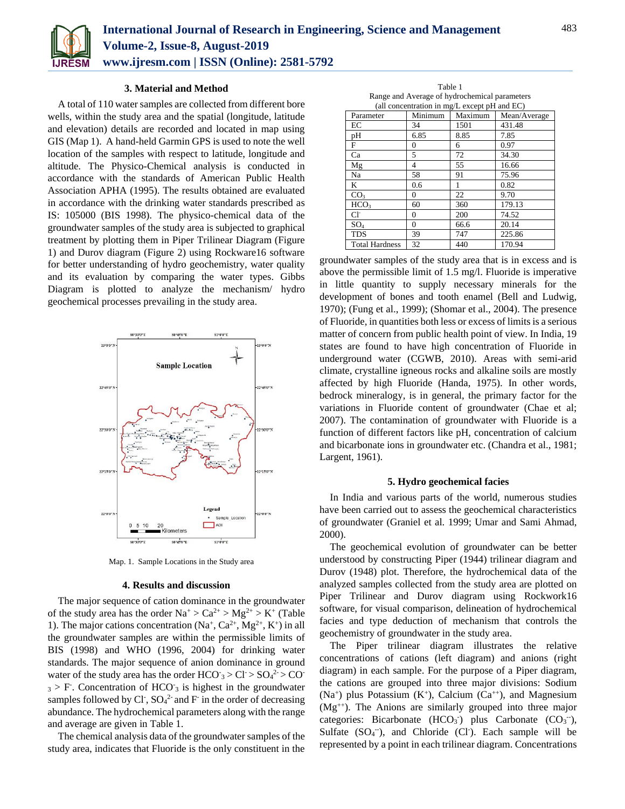

# **3. Material and Method**

A total of 110 water samples are collected from different bore wells, within the study area and the spatial (longitude, latitude and elevation) details are recorded and located in map using GIS (Map 1). A hand-held Garmin GPS is used to note the well location of the samples with respect to latitude, longitude and altitude. The Physico-Chemical analysis is conducted in accordance with the standards of American Public Health Association APHA (1995). The results obtained are evaluated in accordance with the drinking water standards prescribed as IS: 105000 (BIS 1998). The physico-chemical data of the groundwater samples of the study area is subjected to graphical treatment by plotting them in Piper Trilinear Diagram (Figure 1) and Durov diagram (Figure 2) using Rockware16 software for better understanding of hydro geochemistry, water quality and its evaluation by comparing the water types. Gibbs Diagram is plotted to analyze the mechanism/ hydro geochemical processes prevailing in the study area.



Map. 1. Sample Locations in the Study area

## **4. Results and discussion**

The major sequence of cation dominance in the groundwater of the study area has the order  $Na^+ > Ca^{2+} > Mg^{2+} > K^+$  (Table 1). The major cations concentration  $(Na^+, Ca^{2+}, Mg^{2+}, K^+)$  in all the groundwater samples are within the permissible limits of BIS (1998) and WHO (1996, 2004) for drinking water standards. The major sequence of anion dominance in ground water of the study area has the order  $HCO^-_3 > Cl^- > SO_4^{2-} > CO^ 3 > F$ . Concentration of HCO<sup>-</sup> $3$  is highest in the groundwater samples followed by Cl<sup>-</sup>,  $SO_4^2$  and F<sup>-</sup> in the order of decreasing abundance. The hydrochemical parameters along with the range and average are given in Table 1.

The chemical analysis data of the groundwater samples of the study area, indicates that Fluoride is the only constituent in the

Table 1 Range and Average of hydrochemical parameters (all concentration in mg/L except pH and EC)

| (an concentration in mg/L except $p_n$ and $E(f)$ ) |          |         |              |
|-----------------------------------------------------|----------|---------|--------------|
| Parameter                                           | Minimum  | Maximum | Mean/Average |
| EC                                                  | 34       | 1501    | 431.48       |
| pН                                                  | 6.85     | 8.85    | 7.85         |
| F                                                   | $\Omega$ | 6       | 0.97         |
| Ca                                                  | 5        | 72      | 34.30        |
| Mg                                                  | 4        | 55      | 16.66        |
| Na                                                  | 58       | 91      | 75.96        |
| K                                                   | 0.6      | 1       | 0.82         |
| CO <sub>3</sub>                                     | $\Omega$ | 22      | 9.70         |
| HCO <sub>3</sub>                                    | 60       | 360     | 179.13       |
| $Cl^-$                                              | $\Omega$ | 200     | 74.52        |
| $SO_4$                                              | $\theta$ | 66.6    | 20.14        |
| <b>TDS</b>                                          | 39       | 747     | 225.86       |
| <b>Total Hardness</b>                               | 32       | 440     | 170.94       |

groundwater samples of the study area that is in excess and is above the permissible limit of 1.5 mg/l. Fluoride is imperative in little quantity to supply necessary minerals for the development of bones and tooth enamel (Bell and Ludwig, 1970); (Fung et al., 1999); (Shomar et al., 2004). The presence of Fluoride, in quantities both less or excess of limits is a serious matter of concern from public health point of view. In India, 19 states are found to have high concentration of Fluoride in underground water (CGWB, 2010). Areas with semi-arid climate, crystalline igneous rocks and alkaline soils are mostly affected by high Fluoride (Handa, 1975). In other words, bedrock mineralogy, is in general, the primary factor for the variations in Fluoride content of groundwater (Chae et al; 2007). The contamination of groundwater with Fluoride is a function of different factors like pH, concentration of calcium and bicarbonate ions in groundwater etc. (Chandra et al., 1981; Largent, 1961).

#### **5. Hydro geochemical facies**

In India and various parts of the world, numerous studies have been carried out to assess the geochemical characteristics of groundwater (Graniel et al. 1999; Umar and Sami Ahmad, 2000).

The geochemical evolution of groundwater can be better understood by constructing Piper (1944) trilinear diagram and Durov (1948) plot. Therefore, the hydrochemical data of the analyzed samples collected from the study area are plotted on Piper Trilinear and Durov diagram using Rockwork16 software, for visual comparison, delineation of hydrochemical facies and type deduction of mechanism that controls the geochemistry of groundwater in the study area.

The Piper trilinear diagram illustrates the relative concentrations of cations (left diagram) and anions (right diagram) in each sample. For the purpose of a Piper diagram, the cations are grouped into three major divisions: Sodium  $(Na<sup>+</sup>)$  plus Potassium  $(K<sup>+</sup>)$ , Calcium  $(Ca<sup>++</sup>)$ , and Magnesium (Mg++). The Anions are similarly grouped into three major categories: Bicarbonate  $(HCO<sub>3</sub>)$  plus Carbonate  $(CO<sub>3</sub>^-)$ , Sulfate  $(SO<sub>4</sub>^-)$ , and Chloride (Cl). Each sample will be represented by a point in each trilinear diagram. Concentrations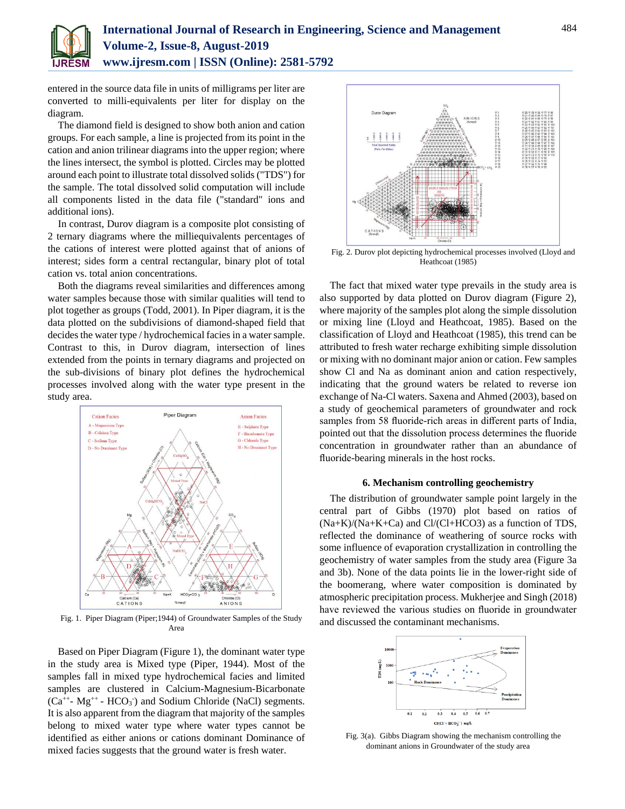

entered in the source data file in units of milligrams per liter are converted to milli-equivalents per liter for display on the diagram.

The diamond field is designed to show both anion and cation groups. For each sample, a line is projected from its point in the cation and anion trilinear diagrams into the upper region; where the lines intersect, the symbol is plotted. Circles may be plotted around each point to illustrate total dissolved solids ("TDS") for the sample. The total dissolved solid computation will include all components listed in the data file ("standard" ions and additional ions).

In contrast, Durov diagram is a composite plot consisting of 2 ternary diagrams where the milliequivalents percentages of the cations of interest were plotted against that of anions of interest; sides form a central rectangular, binary plot of total cation vs. total anion concentrations.

Both the diagrams reveal similarities and differences among water samples because those with similar qualities will tend to plot together as groups (Todd, 2001). In Piper diagram, it is the data plotted on the subdivisions of diamond-shaped field that decides the water type / hydrochemical facies in a water sample. Contrast to this, in Durov diagram, intersection of lines extended from the points in ternary diagrams and projected on the sub-divisions of binary plot defines the hydrochemical processes involved along with the water type present in the study area.



Fig. 1. Piper Diagram (Piper;1944) of Groundwater Samples of the Study Area

Based on Piper Diagram (Figure 1), the dominant water type in the study area is Mixed type (Piper, 1944). Most of the samples fall in mixed type hydrochemical facies and limited samples are clustered in Calcium-Magnesium-Bicarbonate  $(Ca^{++} - Mg^{++} - HCO<sub>3</sub>)$  and Sodium Chloride (NaCl) segments. It is also apparent from the diagram that majority of the samples belong to mixed water type where water types cannot be identified as either anions or cations dominant Dominance of mixed facies suggests that the ground water is fresh water.



Heathcoat (1985)

The fact that mixed water type prevails in the study area is also supported by data plotted on Durov diagram (Figure 2), where majority of the samples plot along the simple dissolution or mixing line (Lloyd and Heathcoat, 1985). Based on the classification of Lloyd and Heathcoat (1985), this trend can be attributed to fresh water recharge exhibiting simple dissolution or mixing with no dominant major anion or cation. Few samples show Cl and Na as dominant anion and cation respectively, indicating that the ground waters be related to reverse ion exchange of Na-Cl waters. Saxena and Ahmed (2003), based on a study of geochemical parameters of groundwater and rock samples from 58 fluoride-rich areas in different parts of India, pointed out that the dissolution process determines the fluoride concentration in groundwater rather than an abundance of fluoride-bearing minerals in the host rocks.

## **6. Mechanism controlling geochemistry**

The distribution of groundwater sample point largely in the central part of Gibbs (1970) plot based on ratios of  $(Na+K)/(Na+K+Ca)$  and  $Cl/(Cl+HCO3)$  as a function of TDS, reflected the dominance of weathering of source rocks with some influence of evaporation crystallization in controlling the geochemistry of water samples from the study area (Figure 3a and 3b). None of the data points lie in the lower-right side of the boomerang, where water composition is dominated by atmospheric precipitation process. Mukherjee and Singh (2018) have reviewed the various studies on fluoride in groundwater and discussed the contaminant mechanisms.



Fig. 3(a). Gibbs Diagram showing the mechanism controlling the dominant anions in Groundwater of the study area